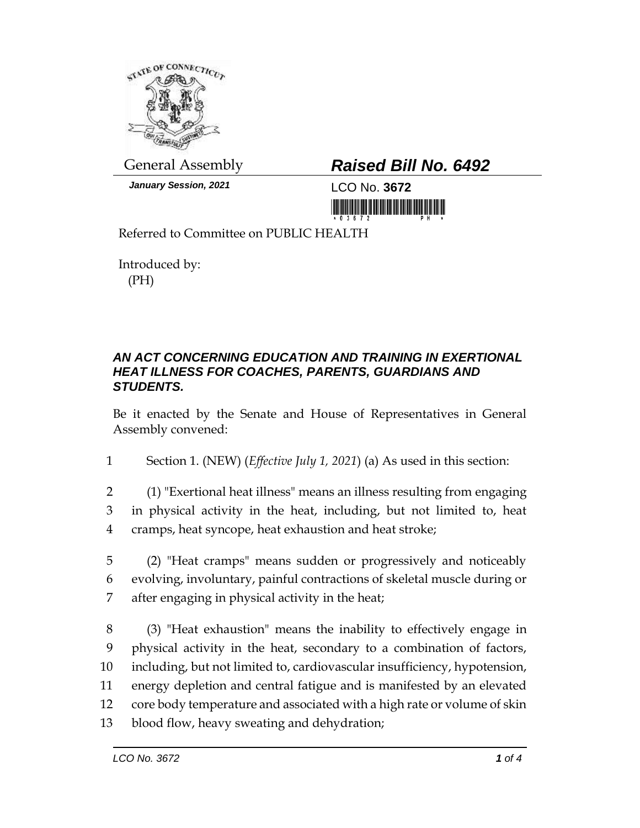

*January Session, 2021* LCO No. **3672**

## General Assembly *Raised Bill No. 6492*

<u> III MARIJI III MARIJI III MARIJI III MARIJI III MARIJI III MARIJI III MARIJI III MARIJI III MARIJI III MARIJ</u>

Referred to Committee on PUBLIC HEALTH

Introduced by: (PH)

## *AN ACT CONCERNING EDUCATION AND TRAINING IN EXERTIONAL HEAT ILLNESS FOR COACHES, PARENTS, GUARDIANS AND STUDENTS.*

Be it enacted by the Senate and House of Representatives in General Assembly convened:

1 Section 1. (NEW) (*Effective July 1, 2021*) (a) As used in this section:

- 2 (1) "Exertional heat illness" means an illness resulting from engaging 3 in physical activity in the heat, including, but not limited to, heat 4 cramps, heat syncope, heat exhaustion and heat stroke;
- 5 (2) "Heat cramps" means sudden or progressively and noticeably 6 evolving, involuntary, painful contractions of skeletal muscle during or 7 after engaging in physical activity in the heat;
- 8 (3) "Heat exhaustion" means the inability to effectively engage in 9 physical activity in the heat, secondary to a combination of factors, 10 including, but not limited to, cardiovascular insufficiency, hypotension, 11 energy depletion and central fatigue and is manifested by an elevated 12 core body temperature and associated with a high rate or volume of skin 13 blood flow, heavy sweating and dehydration;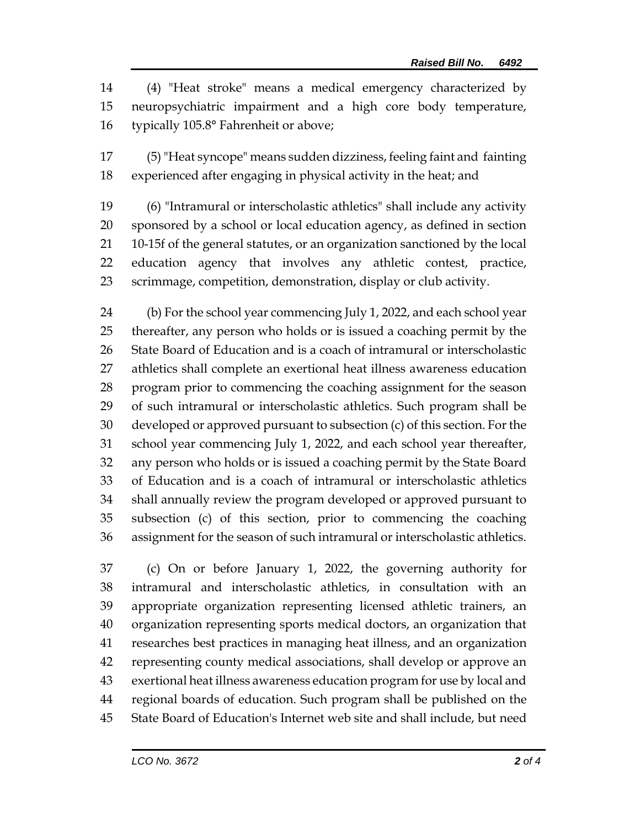(4) "Heat stroke" means a medical emergency characterized by neuropsychiatric impairment and a high core body temperature, typically 105.8° Fahrenheit or above;

 (5) "Heat syncope" means sudden dizziness, feeling faint and fainting experienced after engaging in physical activity in the heat; and

 (6) "Intramural or interscholastic athletics" shall include any activity sponsored by a school or local education agency, as defined in section 10-15f of the general statutes, or an organization sanctioned by the local education agency that involves any athletic contest, practice, scrimmage, competition, demonstration, display or club activity.

 (b) For the school year commencing July 1, 2022, and each school year thereafter, any person who holds or is issued a coaching permit by the State Board of Education and is a coach of intramural or interscholastic athletics shall complete an exertional heat illness awareness education program prior to commencing the coaching assignment for the season of such intramural or interscholastic athletics. Such program shall be developed or approved pursuant to subsection (c) of this section. For the school year commencing July 1, 2022, and each school year thereafter, any person who holds or is issued a coaching permit by the State Board of Education and is a coach of intramural or interscholastic athletics shall annually review the program developed or approved pursuant to subsection (c) of this section, prior to commencing the coaching assignment for the season of such intramural or interscholastic athletics.

 (c) On or before January 1, 2022, the governing authority for intramural and interscholastic athletics, in consultation with an appropriate organization representing licensed athletic trainers, an organization representing sports medical doctors, an organization that researches best practices in managing heat illness, and an organization representing county medical associations, shall develop or approve an exertional heat illness awareness education program for use by local and regional boards of education. Such program shall be published on the State Board of Education's Internet web site and shall include, but need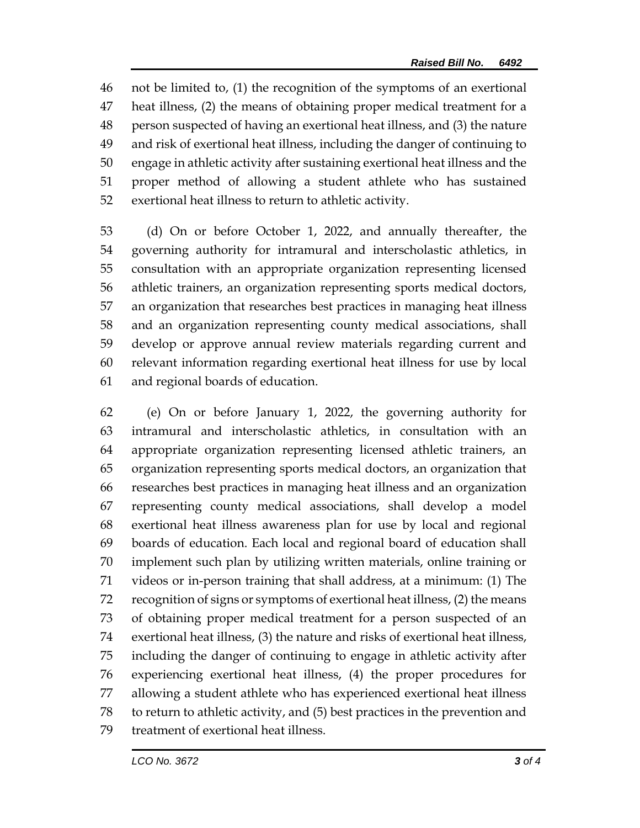not be limited to, (1) the recognition of the symptoms of an exertional heat illness, (2) the means of obtaining proper medical treatment for a person suspected of having an exertional heat illness, and (3) the nature and risk of exertional heat illness, including the danger of continuing to engage in athletic activity after sustaining exertional heat illness and the proper method of allowing a student athlete who has sustained exertional heat illness to return to athletic activity.

 (d) On or before October 1, 2022, and annually thereafter, the governing authority for intramural and interscholastic athletics, in consultation with an appropriate organization representing licensed athletic trainers, an organization representing sports medical doctors, an organization that researches best practices in managing heat illness and an organization representing county medical associations, shall develop or approve annual review materials regarding current and relevant information regarding exertional heat illness for use by local and regional boards of education.

 (e) On or before January 1, 2022, the governing authority for intramural and interscholastic athletics, in consultation with an appropriate organization representing licensed athletic trainers, an organization representing sports medical doctors, an organization that researches best practices in managing heat illness and an organization representing county medical associations, shall develop a model exertional heat illness awareness plan for use by local and regional boards of education. Each local and regional board of education shall implement such plan by utilizing written materials, online training or videos or in-person training that shall address, at a minimum: (1) The recognition of signs or symptoms of exertional heat illness, (2) the means of obtaining proper medical treatment for a person suspected of an exertional heat illness, (3) the nature and risks of exertional heat illness, including the danger of continuing to engage in athletic activity after experiencing exertional heat illness, (4) the proper procedures for allowing a student athlete who has experienced exertional heat illness to return to athletic activity, and (5) best practices in the prevention and treatment of exertional heat illness.